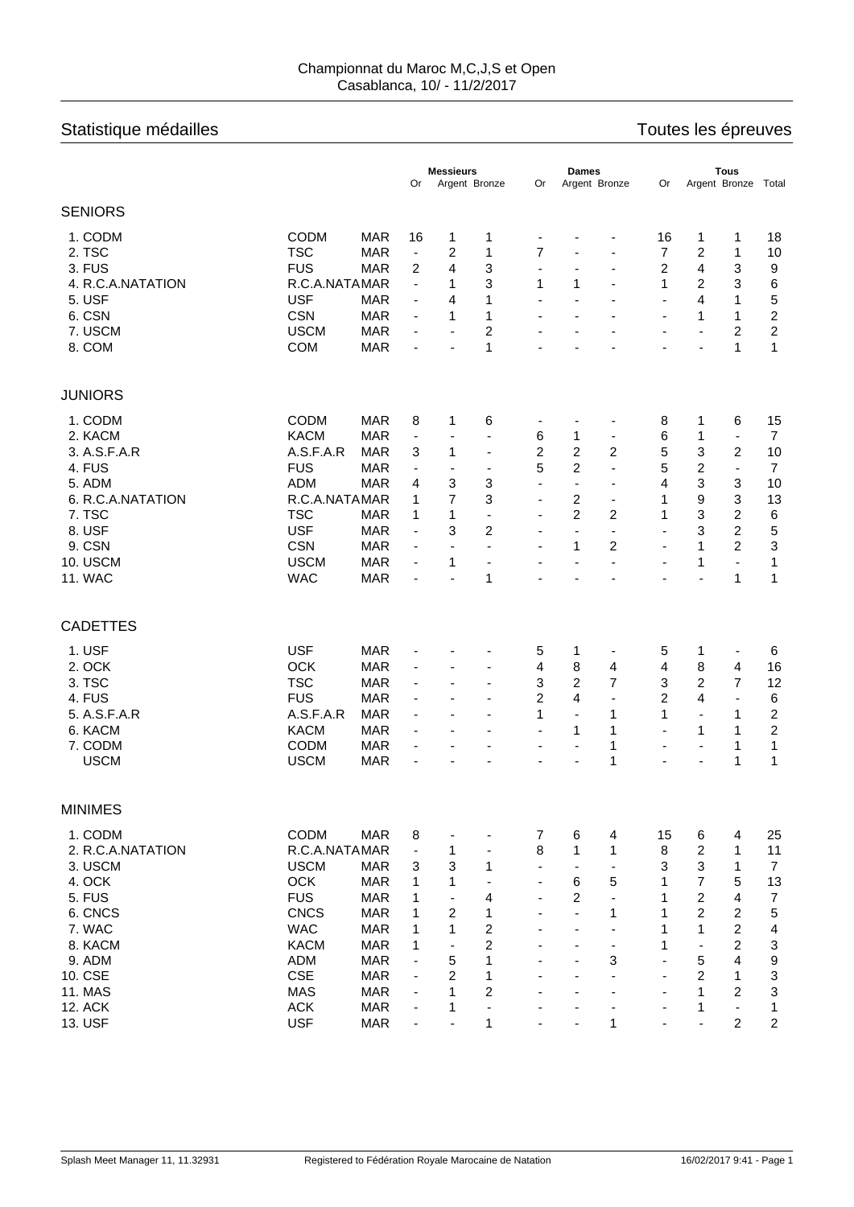## Championnat du Maroc M,C,J,S et Open Casablanca, 10/ - 11/2/2017

## Statistique médailles **Statistique médailles** en la mateur de la mateur de la mateur de la mateur de la mateur d

| Argent Bronze Total<br>0r<br>Argent Bronze<br>Or<br>Argent Bronze<br>Or<br><b>CODM</b><br>1. CODM<br><b>MAR</b><br>16<br>18<br>1<br>16<br>1<br>1<br>1<br>$\qquad \qquad \blacksquare$<br>2. TSC<br><b>TSC</b><br>$\overline{c}$<br>$\overline{7}$<br>$\overline{7}$<br>$\overline{c}$<br><b>MAR</b><br>1<br>1<br>10<br>$\overline{\phantom{a}}$<br>$\blacksquare$<br>3. FUS<br><b>FUS</b><br>4<br>3<br>2<br>4<br>3<br><b>MAR</b><br>2<br>9<br>÷,<br>٠<br>4. R.C.A.NATATION<br>R.C.A.NATAMAR<br>3<br>1<br>1<br>1<br>2<br>3<br>6<br>1<br>$\blacksquare$<br>÷,<br>5. USF<br><b>USF</b><br>4<br>5<br><b>MAR</b><br>1<br>4<br>1<br>$\overline{\phantom{a}}$<br>$\overline{\phantom{0}}$<br>$\overline{\phantom{a}}$<br>$\blacksquare$<br>$\blacksquare$<br>$\overline{c}$<br>6. CSN<br><b>CSN</b><br><b>MAR</b><br>1<br>1<br>1<br>1<br>$\overline{\phantom{a}}$<br>÷,<br>$\overline{\phantom{a}}$<br>$\qquad \qquad \blacksquare$<br>$\overline{c}$<br><b>USCM</b><br>7. USCM<br><b>MAR</b><br>2<br>2<br>$\overline{\phantom{a}}$<br>$\overline{\phantom{a}}$<br>$\blacksquare$<br>$\blacksquare$<br>$\overline{\phantom{a}}$<br>8. COM<br><b>COM</b><br>1<br>1<br>$\mathbf{1}$<br><b>MAR</b><br>ä,<br>ä,<br>$\blacksquare$<br><b>CODM</b><br>1. CODM<br><b>MAR</b><br>8<br>1<br>6<br>8<br>15<br>1<br>6<br>$\overline{\phantom{a}}$<br><b>KACM</b><br>6<br>2. KACM<br><b>MAR</b><br>6<br>$\overline{7}$<br>1<br>1<br>$\blacksquare$<br>$\overline{\phantom{a}}$<br>$\overline{\phantom{a}}$<br>٠<br>٠<br>$\overline{c}$<br>5<br>3<br>3. A.S.F.A.R<br>A.S.F.A.R<br>$\overline{c}$<br>$\overline{c}$<br>$\overline{c}$<br><b>MAR</b><br>3<br>1<br>10<br>$\overline{\phantom{a}}$<br>5<br>$\overline{2}$<br>5<br>$\overline{c}$<br><b>FUS</b><br>4. FUS<br><b>MAR</b><br>$\overline{7}$<br>L.<br>$\overline{\phantom{a}}$<br>$\overline{\phantom{a}}$<br>$\overline{\phantom{a}}$<br>$\overline{\phantom{a}}$<br>3<br><b>ADM</b><br>3<br>3<br>5. ADM<br>3<br>4<br>10<br>MAR<br>4<br>$\overline{\phantom{0}}$<br>$\overline{\phantom{a}}$<br>٠<br>7<br>9<br>3<br>6. R.C.A.NATATION<br>R.C.A.NATAMAR<br>3<br>2<br>13<br>1<br>1<br>$\overline{\phantom{0}}$<br>٠<br>$\overline{2}$<br>7. TSC<br><b>TSC</b><br>3<br>2<br>2<br>6<br>MAR<br>1<br>1<br>1<br>$\overline{\phantom{a}}$<br>$\overline{\phantom{a}}$<br>5<br><b>USF</b><br>3<br>$\overline{c}$<br>3<br>2<br>8. USF<br>MAR<br>$\blacksquare$<br>÷<br>$\overline{\phantom{a}}$<br>$\qquad \qquad \blacksquare$<br>$\qquad \qquad \blacksquare$<br>3<br>$\overline{c}$<br>9. CSN<br><b>CSN</b><br>2<br><b>MAR</b><br>1<br>1<br>$\qquad \qquad \blacksquare$<br>$\overline{\phantom{a}}$<br>$\blacksquare$<br>$\overline{\phantom{0}}$<br>$\overline{\phantom{a}}$<br>10. USCM<br><b>USCM</b><br>1<br><b>MAR</b><br>1<br>1<br>$\blacksquare$<br>$\overline{\phantom{a}}$<br>÷,<br>$\blacksquare$<br>$\blacksquare$<br>$\blacksquare$<br>$\blacksquare$<br>1<br><b>11. WAC</b><br><b>WAC</b><br><b>MAR</b><br>1<br>1<br>$\blacksquare$<br>$\overline{\phantom{a}}$<br>ä,<br>$\blacksquare$<br>$\overline{\phantom{a}}$<br>$\blacksquare$<br>$\blacksquare$<br><b>USF</b><br>1. USF<br><b>MAR</b><br>5<br>5<br>1<br>6<br>1<br>$\qquad \qquad \blacksquare$<br>$\qquad \qquad \blacksquare$<br>-<br>2. OCK<br>OCK<br>8<br>4<br>8<br><b>MAR</b><br>4<br>4<br>4<br>16<br>$\overline{\phantom{a}}$<br>$\overline{\phantom{a}}$<br>$\overline{2}$<br>3. TSC<br><b>TSC</b><br>3<br>$\overline{7}$<br>3<br>$\overline{2}$<br>$\overline{7}$<br>12<br><b>MAR</b><br>$\overline{\phantom{a}}$<br>$\overline{\phantom{a}}$<br>$\blacksquare$<br>4. FUS<br><b>FUS</b><br>$\overline{2}$<br>4<br>$\overline{2}$<br>6<br><b>MAR</b><br>4<br>÷,<br>÷,<br>$\blacksquare$<br>$\overline{\phantom{a}}$<br>$\overline{\phantom{a}}$<br>5. A.S.F.A.R<br>A.S.F.A.R<br><b>MAR</b><br>1<br>1<br>2<br>1<br>1<br>$\blacksquare$<br>$\blacksquare$<br>$\blacksquare$<br>$\overline{\phantom{a}}$<br>$\overline{\phantom{a}}$<br><b>KACM</b><br>$\overline{c}$<br>6. KACM<br><b>MAR</b><br>1<br>1<br>1<br>1<br>$\blacksquare$<br>$\overline{\phantom{a}}$<br>$\overline{\phantom{a}}$<br>$\overline{\phantom{a}}$<br>$\overline{\phantom{a}}$<br><b>CODM</b><br>7. CODM<br><b>MAR</b><br>1<br>1<br>1<br>$\overline{\phantom{a}}$<br>$\overline{\phantom{a}}$<br>÷,<br>$\overline{\phantom{a}}$<br>$\overline{\phantom{a}}$<br>$\qquad \qquad \blacksquare$<br><b>USCM</b><br><b>USCM</b><br>$\mathbf{1}$<br><b>MAR</b><br>1<br>1<br>÷,<br>٠<br>1. CODM<br>CODM<br><b>MAR</b><br>8<br>$\overline{7}$<br>6<br>15<br>25<br>4<br>6<br>4<br>$\overline{\phantom{a}}$<br>8<br>$\overline{c}$<br>2. R.C.A.NATATION<br>R.C.A.NATAMAR<br>11<br>1<br>1<br>8<br>$\blacksquare$<br>1<br>1<br>$\qquad \qquad \blacksquare$<br>3<br>3<br>3<br>$\overline{7}$<br>3. USCM<br><b>USCM</b><br>3<br><b>MAR</b><br>1<br>1<br>$\blacksquare$<br>$\overline{7}$<br><b>OCK</b><br>4. OCK<br>$\mathbf{1}$<br>1<br>6<br>5<br>$\mathbf{1}$<br>5<br>13<br><b>MAR</b><br>$\qquad \qquad \blacksquare$<br>$\overline{c}$<br><b>FUS</b><br>$\overline{2}$<br>5. FUS<br>$\mathbf{1}$<br>4<br>1<br>4<br>$\overline{7}$<br><b>MAR</b><br>$\blacksquare$<br>ä,<br>$\blacksquare$<br><b>CNCS</b><br>$\overline{c}$<br>$\overline{c}$<br>$\overline{c}$<br>5<br>6. CNCS<br>$\mathbf{1}$<br>$\mathbf{1}$<br><b>MAR</b><br>1<br>1<br>÷,<br>$\overline{\phantom{0}}$<br><b>WAC</b><br>$\overline{\mathbf{c}}$<br>2<br>7. WAC<br><b>MAR</b><br>1<br>1<br>1<br>1<br>4<br>$\overline{c}$<br>8. KACM<br><b>KACM</b><br>2<br>3<br><b>MAR</b><br>1<br>1<br>$\blacksquare$<br>$\blacksquare$<br>$\overline{\phantom{a}}$<br>$\overline{\phantom{a}}$<br>9<br><b>ADM</b><br>3<br>5<br>9. ADM<br><b>MAR</b><br>5<br>1<br>4<br>$\blacksquare$<br>$\blacksquare$<br>$\ensuremath{\mathsf{3}}$<br>CSE<br>$\overline{c}$<br>$\overline{c}$<br>10. CSE<br>1<br><b>MAR</b><br>1<br>$\blacksquare$<br>$\overline{\phantom{a}}$<br><b>MAS</b><br>$\overline{c}$<br>3<br>11. MAS<br>$\mathbf{1}$<br>$\mathbf{1}$<br>$\overline{c}$<br><b>MAR</b><br>$\overline{\phantom{a}}$<br>٠<br><b>ACK</b><br>12. ACK<br><b>MAR</b><br>1<br>1<br>1<br>÷,<br>$\blacksquare$<br>$\blacksquare$<br>÷ |                 |            |            | <b>Messieurs</b>             |  | <b>Dames</b> |  |  | <b>Tous</b> |  |  |   |                |  |
|--------------------------------------------------------------------------------------------------------------------------------------------------------------------------------------------------------------------------------------------------------------------------------------------------------------------------------------------------------------------------------------------------------------------------------------------------------------------------------------------------------------------------------------------------------------------------------------------------------------------------------------------------------------------------------------------------------------------------------------------------------------------------------------------------------------------------------------------------------------------------------------------------------------------------------------------------------------------------------------------------------------------------------------------------------------------------------------------------------------------------------------------------------------------------------------------------------------------------------------------------------------------------------------------------------------------------------------------------------------------------------------------------------------------------------------------------------------------------------------------------------------------------------------------------------------------------------------------------------------------------------------------------------------------------------------------------------------------------------------------------------------------------------------------------------------------------------------------------------------------------------------------------------------------------------------------------------------------------------------------------------------------------------------------------------------------------------------------------------------------------------------------------------------------------------------------------------------------------------------------------------------------------------------------------------------------------------------------------------------------------------------------------------------------------------------------------------------------------------------------------------------------------------------------------------------------------------------------------------------------------------------------------------------------------------------------------------------------------------------------------------------------------------------------------------------------------------------------------------------------------------------------------------------------------------------------------------------------------------------------------------------------------------------------------------------------------------------------------------------------------------------------------------------------------------------------------------------------------------------------------------------------------------------------------------------------------------------------------------------------------------------------------------------------------------------------------------------------------------------------------------------------------------------------------------------------------------------------------------------------------------------------------------------------------------------------------------------------------------------------------------------------------------------------------------------------------------------------------------------------------------------------------------------------------------------------------------------------------------------------------------------------------------------------------------------------------------------------------------------------------------------------------------------------------------------------------------------------------------------------------------------------------------------------------------------------------------------------------------------------------------------------------------------------------------------------------------------------------------------------------------------------------------------------------------------------------------------------------------------------------------------------------------------------------------------------------------------------------------------------------------------------------------------------------------------------------------------------------------------------------------------------------------------------------------------------------------------------------------------------------------------------------------------------------------------------------------------------------------------------------------------------------------------------------------------------------------------------------------------------------------------------------------------------------------------------------------------------------------------------------------------------------------------------------------------------------------------------------------------------------------------------------------------------------------------------------------------------------------------------------------------------------------------------------------------------------------------------------------------------------------------------------------------------------------------------------------------------------------------------------------------------------------------------------------------------------------------------------------------------------------------------------------------------------------------------------------------------------------------------------------------------|-----------------|------------|------------|------------------------------|--|--------------|--|--|-------------|--|--|---|----------------|--|
|                                                                                                                                                                                                                                                                                                                                                                                                                                                                                                                                                                                                                                                                                                                                                                                                                                                                                                                                                                                                                                                                                                                                                                                                                                                                                                                                                                                                                                                                                                                                                                                                                                                                                                                                                                                                                                                                                                                                                                                                                                                                                                                                                                                                                                                                                                                                                                                                                                                                                                                                                                                                                                                                                                                                                                                                                                                                                                                                                                                                                                                                                                                                                                                                                                                                                                                                                                                                                                                                                                                                                                                                                                                                                                                                                                                                                                                                                                                                                                                                                                                                                                                                                                                                                                                                                                                                                                                                                                                                                                                                                                                                                                                                                                                                                                                                                                                                                                                                                                                                                                                                                                                                                                                                                                                                                                                                                                                                                                                                                                                                                                                                                                                                                                                                                                                                                                                                                                                                                                                                                                                                                                                                            |                 |            |            |                              |  |              |  |  |             |  |  |   |                |  |
|                                                                                                                                                                                                                                                                                                                                                                                                                                                                                                                                                                                                                                                                                                                                                                                                                                                                                                                                                                                                                                                                                                                                                                                                                                                                                                                                                                                                                                                                                                                                                                                                                                                                                                                                                                                                                                                                                                                                                                                                                                                                                                                                                                                                                                                                                                                                                                                                                                                                                                                                                                                                                                                                                                                                                                                                                                                                                                                                                                                                                                                                                                                                                                                                                                                                                                                                                                                                                                                                                                                                                                                                                                                                                                                                                                                                                                                                                                                                                                                                                                                                                                                                                                                                                                                                                                                                                                                                                                                                                                                                                                                                                                                                                                                                                                                                                                                                                                                                                                                                                                                                                                                                                                                                                                                                                                                                                                                                                                                                                                                                                                                                                                                                                                                                                                                                                                                                                                                                                                                                                                                                                                                                            | <b>SENIORS</b>  |            |            |                              |  |              |  |  |             |  |  |   |                |  |
|                                                                                                                                                                                                                                                                                                                                                                                                                                                                                                                                                                                                                                                                                                                                                                                                                                                                                                                                                                                                                                                                                                                                                                                                                                                                                                                                                                                                                                                                                                                                                                                                                                                                                                                                                                                                                                                                                                                                                                                                                                                                                                                                                                                                                                                                                                                                                                                                                                                                                                                                                                                                                                                                                                                                                                                                                                                                                                                                                                                                                                                                                                                                                                                                                                                                                                                                                                                                                                                                                                                                                                                                                                                                                                                                                                                                                                                                                                                                                                                                                                                                                                                                                                                                                                                                                                                                                                                                                                                                                                                                                                                                                                                                                                                                                                                                                                                                                                                                                                                                                                                                                                                                                                                                                                                                                                                                                                                                                                                                                                                                                                                                                                                                                                                                                                                                                                                                                                                                                                                                                                                                                                                                            |                 |            |            |                              |  |              |  |  |             |  |  |   |                |  |
|                                                                                                                                                                                                                                                                                                                                                                                                                                                                                                                                                                                                                                                                                                                                                                                                                                                                                                                                                                                                                                                                                                                                                                                                                                                                                                                                                                                                                                                                                                                                                                                                                                                                                                                                                                                                                                                                                                                                                                                                                                                                                                                                                                                                                                                                                                                                                                                                                                                                                                                                                                                                                                                                                                                                                                                                                                                                                                                                                                                                                                                                                                                                                                                                                                                                                                                                                                                                                                                                                                                                                                                                                                                                                                                                                                                                                                                                                                                                                                                                                                                                                                                                                                                                                                                                                                                                                                                                                                                                                                                                                                                                                                                                                                                                                                                                                                                                                                                                                                                                                                                                                                                                                                                                                                                                                                                                                                                                                                                                                                                                                                                                                                                                                                                                                                                                                                                                                                                                                                                                                                                                                                                                            |                 |            |            |                              |  |              |  |  |             |  |  |   |                |  |
|                                                                                                                                                                                                                                                                                                                                                                                                                                                                                                                                                                                                                                                                                                                                                                                                                                                                                                                                                                                                                                                                                                                                                                                                                                                                                                                                                                                                                                                                                                                                                                                                                                                                                                                                                                                                                                                                                                                                                                                                                                                                                                                                                                                                                                                                                                                                                                                                                                                                                                                                                                                                                                                                                                                                                                                                                                                                                                                                                                                                                                                                                                                                                                                                                                                                                                                                                                                                                                                                                                                                                                                                                                                                                                                                                                                                                                                                                                                                                                                                                                                                                                                                                                                                                                                                                                                                                                                                                                                                                                                                                                                                                                                                                                                                                                                                                                                                                                                                                                                                                                                                                                                                                                                                                                                                                                                                                                                                                                                                                                                                                                                                                                                                                                                                                                                                                                                                                                                                                                                                                                                                                                                                            |                 |            |            |                              |  |              |  |  |             |  |  |   |                |  |
|                                                                                                                                                                                                                                                                                                                                                                                                                                                                                                                                                                                                                                                                                                                                                                                                                                                                                                                                                                                                                                                                                                                                                                                                                                                                                                                                                                                                                                                                                                                                                                                                                                                                                                                                                                                                                                                                                                                                                                                                                                                                                                                                                                                                                                                                                                                                                                                                                                                                                                                                                                                                                                                                                                                                                                                                                                                                                                                                                                                                                                                                                                                                                                                                                                                                                                                                                                                                                                                                                                                                                                                                                                                                                                                                                                                                                                                                                                                                                                                                                                                                                                                                                                                                                                                                                                                                                                                                                                                                                                                                                                                                                                                                                                                                                                                                                                                                                                                                                                                                                                                                                                                                                                                                                                                                                                                                                                                                                                                                                                                                                                                                                                                                                                                                                                                                                                                                                                                                                                                                                                                                                                                                            |                 |            |            |                              |  |              |  |  |             |  |  |   |                |  |
|                                                                                                                                                                                                                                                                                                                                                                                                                                                                                                                                                                                                                                                                                                                                                                                                                                                                                                                                                                                                                                                                                                                                                                                                                                                                                                                                                                                                                                                                                                                                                                                                                                                                                                                                                                                                                                                                                                                                                                                                                                                                                                                                                                                                                                                                                                                                                                                                                                                                                                                                                                                                                                                                                                                                                                                                                                                                                                                                                                                                                                                                                                                                                                                                                                                                                                                                                                                                                                                                                                                                                                                                                                                                                                                                                                                                                                                                                                                                                                                                                                                                                                                                                                                                                                                                                                                                                                                                                                                                                                                                                                                                                                                                                                                                                                                                                                                                                                                                                                                                                                                                                                                                                                                                                                                                                                                                                                                                                                                                                                                                                                                                                                                                                                                                                                                                                                                                                                                                                                                                                                                                                                                                            |                 |            |            |                              |  |              |  |  |             |  |  |   |                |  |
|                                                                                                                                                                                                                                                                                                                                                                                                                                                                                                                                                                                                                                                                                                                                                                                                                                                                                                                                                                                                                                                                                                                                                                                                                                                                                                                                                                                                                                                                                                                                                                                                                                                                                                                                                                                                                                                                                                                                                                                                                                                                                                                                                                                                                                                                                                                                                                                                                                                                                                                                                                                                                                                                                                                                                                                                                                                                                                                                                                                                                                                                                                                                                                                                                                                                                                                                                                                                                                                                                                                                                                                                                                                                                                                                                                                                                                                                                                                                                                                                                                                                                                                                                                                                                                                                                                                                                                                                                                                                                                                                                                                                                                                                                                                                                                                                                                                                                                                                                                                                                                                                                                                                                                                                                                                                                                                                                                                                                                                                                                                                                                                                                                                                                                                                                                                                                                                                                                                                                                                                                                                                                                                                            |                 |            |            |                              |  |              |  |  |             |  |  |   |                |  |
|                                                                                                                                                                                                                                                                                                                                                                                                                                                                                                                                                                                                                                                                                                                                                                                                                                                                                                                                                                                                                                                                                                                                                                                                                                                                                                                                                                                                                                                                                                                                                                                                                                                                                                                                                                                                                                                                                                                                                                                                                                                                                                                                                                                                                                                                                                                                                                                                                                                                                                                                                                                                                                                                                                                                                                                                                                                                                                                                                                                                                                                                                                                                                                                                                                                                                                                                                                                                                                                                                                                                                                                                                                                                                                                                                                                                                                                                                                                                                                                                                                                                                                                                                                                                                                                                                                                                                                                                                                                                                                                                                                                                                                                                                                                                                                                                                                                                                                                                                                                                                                                                                                                                                                                                                                                                                                                                                                                                                                                                                                                                                                                                                                                                                                                                                                                                                                                                                                                                                                                                                                                                                                                                            |                 |            |            |                              |  |              |  |  |             |  |  |   |                |  |
|                                                                                                                                                                                                                                                                                                                                                                                                                                                                                                                                                                                                                                                                                                                                                                                                                                                                                                                                                                                                                                                                                                                                                                                                                                                                                                                                                                                                                                                                                                                                                                                                                                                                                                                                                                                                                                                                                                                                                                                                                                                                                                                                                                                                                                                                                                                                                                                                                                                                                                                                                                                                                                                                                                                                                                                                                                                                                                                                                                                                                                                                                                                                                                                                                                                                                                                                                                                                                                                                                                                                                                                                                                                                                                                                                                                                                                                                                                                                                                                                                                                                                                                                                                                                                                                                                                                                                                                                                                                                                                                                                                                                                                                                                                                                                                                                                                                                                                                                                                                                                                                                                                                                                                                                                                                                                                                                                                                                                                                                                                                                                                                                                                                                                                                                                                                                                                                                                                                                                                                                                                                                                                                                            |                 |            |            |                              |  |              |  |  |             |  |  |   |                |  |
|                                                                                                                                                                                                                                                                                                                                                                                                                                                                                                                                                                                                                                                                                                                                                                                                                                                                                                                                                                                                                                                                                                                                                                                                                                                                                                                                                                                                                                                                                                                                                                                                                                                                                                                                                                                                                                                                                                                                                                                                                                                                                                                                                                                                                                                                                                                                                                                                                                                                                                                                                                                                                                                                                                                                                                                                                                                                                                                                                                                                                                                                                                                                                                                                                                                                                                                                                                                                                                                                                                                                                                                                                                                                                                                                                                                                                                                                                                                                                                                                                                                                                                                                                                                                                                                                                                                                                                                                                                                                                                                                                                                                                                                                                                                                                                                                                                                                                                                                                                                                                                                                                                                                                                                                                                                                                                                                                                                                                                                                                                                                                                                                                                                                                                                                                                                                                                                                                                                                                                                                                                                                                                                                            | <b>JUNIORS</b>  |            |            |                              |  |              |  |  |             |  |  |   |                |  |
|                                                                                                                                                                                                                                                                                                                                                                                                                                                                                                                                                                                                                                                                                                                                                                                                                                                                                                                                                                                                                                                                                                                                                                                                                                                                                                                                                                                                                                                                                                                                                                                                                                                                                                                                                                                                                                                                                                                                                                                                                                                                                                                                                                                                                                                                                                                                                                                                                                                                                                                                                                                                                                                                                                                                                                                                                                                                                                                                                                                                                                                                                                                                                                                                                                                                                                                                                                                                                                                                                                                                                                                                                                                                                                                                                                                                                                                                                                                                                                                                                                                                                                                                                                                                                                                                                                                                                                                                                                                                                                                                                                                                                                                                                                                                                                                                                                                                                                                                                                                                                                                                                                                                                                                                                                                                                                                                                                                                                                                                                                                                                                                                                                                                                                                                                                                                                                                                                                                                                                                                                                                                                                                                            |                 |            |            |                              |  |              |  |  |             |  |  |   |                |  |
|                                                                                                                                                                                                                                                                                                                                                                                                                                                                                                                                                                                                                                                                                                                                                                                                                                                                                                                                                                                                                                                                                                                                                                                                                                                                                                                                                                                                                                                                                                                                                                                                                                                                                                                                                                                                                                                                                                                                                                                                                                                                                                                                                                                                                                                                                                                                                                                                                                                                                                                                                                                                                                                                                                                                                                                                                                                                                                                                                                                                                                                                                                                                                                                                                                                                                                                                                                                                                                                                                                                                                                                                                                                                                                                                                                                                                                                                                                                                                                                                                                                                                                                                                                                                                                                                                                                                                                                                                                                                                                                                                                                                                                                                                                                                                                                                                                                                                                                                                                                                                                                                                                                                                                                                                                                                                                                                                                                                                                                                                                                                                                                                                                                                                                                                                                                                                                                                                                                                                                                                                                                                                                                                            |                 |            |            |                              |  |              |  |  |             |  |  |   |                |  |
|                                                                                                                                                                                                                                                                                                                                                                                                                                                                                                                                                                                                                                                                                                                                                                                                                                                                                                                                                                                                                                                                                                                                                                                                                                                                                                                                                                                                                                                                                                                                                                                                                                                                                                                                                                                                                                                                                                                                                                                                                                                                                                                                                                                                                                                                                                                                                                                                                                                                                                                                                                                                                                                                                                                                                                                                                                                                                                                                                                                                                                                                                                                                                                                                                                                                                                                                                                                                                                                                                                                                                                                                                                                                                                                                                                                                                                                                                                                                                                                                                                                                                                                                                                                                                                                                                                                                                                                                                                                                                                                                                                                                                                                                                                                                                                                                                                                                                                                                                                                                                                                                                                                                                                                                                                                                                                                                                                                                                                                                                                                                                                                                                                                                                                                                                                                                                                                                                                                                                                                                                                                                                                                                            |                 |            |            |                              |  |              |  |  |             |  |  |   |                |  |
|                                                                                                                                                                                                                                                                                                                                                                                                                                                                                                                                                                                                                                                                                                                                                                                                                                                                                                                                                                                                                                                                                                                                                                                                                                                                                                                                                                                                                                                                                                                                                                                                                                                                                                                                                                                                                                                                                                                                                                                                                                                                                                                                                                                                                                                                                                                                                                                                                                                                                                                                                                                                                                                                                                                                                                                                                                                                                                                                                                                                                                                                                                                                                                                                                                                                                                                                                                                                                                                                                                                                                                                                                                                                                                                                                                                                                                                                                                                                                                                                                                                                                                                                                                                                                                                                                                                                                                                                                                                                                                                                                                                                                                                                                                                                                                                                                                                                                                                                                                                                                                                                                                                                                                                                                                                                                                                                                                                                                                                                                                                                                                                                                                                                                                                                                                                                                                                                                                                                                                                                                                                                                                                                            |                 |            |            |                              |  |              |  |  |             |  |  |   |                |  |
|                                                                                                                                                                                                                                                                                                                                                                                                                                                                                                                                                                                                                                                                                                                                                                                                                                                                                                                                                                                                                                                                                                                                                                                                                                                                                                                                                                                                                                                                                                                                                                                                                                                                                                                                                                                                                                                                                                                                                                                                                                                                                                                                                                                                                                                                                                                                                                                                                                                                                                                                                                                                                                                                                                                                                                                                                                                                                                                                                                                                                                                                                                                                                                                                                                                                                                                                                                                                                                                                                                                                                                                                                                                                                                                                                                                                                                                                                                                                                                                                                                                                                                                                                                                                                                                                                                                                                                                                                                                                                                                                                                                                                                                                                                                                                                                                                                                                                                                                                                                                                                                                                                                                                                                                                                                                                                                                                                                                                                                                                                                                                                                                                                                                                                                                                                                                                                                                                                                                                                                                                                                                                                                                            |                 |            |            |                              |  |              |  |  |             |  |  |   |                |  |
|                                                                                                                                                                                                                                                                                                                                                                                                                                                                                                                                                                                                                                                                                                                                                                                                                                                                                                                                                                                                                                                                                                                                                                                                                                                                                                                                                                                                                                                                                                                                                                                                                                                                                                                                                                                                                                                                                                                                                                                                                                                                                                                                                                                                                                                                                                                                                                                                                                                                                                                                                                                                                                                                                                                                                                                                                                                                                                                                                                                                                                                                                                                                                                                                                                                                                                                                                                                                                                                                                                                                                                                                                                                                                                                                                                                                                                                                                                                                                                                                                                                                                                                                                                                                                                                                                                                                                                                                                                                                                                                                                                                                                                                                                                                                                                                                                                                                                                                                                                                                                                                                                                                                                                                                                                                                                                                                                                                                                                                                                                                                                                                                                                                                                                                                                                                                                                                                                                                                                                                                                                                                                                                                            |                 |            |            |                              |  |              |  |  |             |  |  |   |                |  |
|                                                                                                                                                                                                                                                                                                                                                                                                                                                                                                                                                                                                                                                                                                                                                                                                                                                                                                                                                                                                                                                                                                                                                                                                                                                                                                                                                                                                                                                                                                                                                                                                                                                                                                                                                                                                                                                                                                                                                                                                                                                                                                                                                                                                                                                                                                                                                                                                                                                                                                                                                                                                                                                                                                                                                                                                                                                                                                                                                                                                                                                                                                                                                                                                                                                                                                                                                                                                                                                                                                                                                                                                                                                                                                                                                                                                                                                                                                                                                                                                                                                                                                                                                                                                                                                                                                                                                                                                                                                                                                                                                                                                                                                                                                                                                                                                                                                                                                                                                                                                                                                                                                                                                                                                                                                                                                                                                                                                                                                                                                                                                                                                                                                                                                                                                                                                                                                                                                                                                                                                                                                                                                                                            |                 |            |            |                              |  |              |  |  |             |  |  |   |                |  |
|                                                                                                                                                                                                                                                                                                                                                                                                                                                                                                                                                                                                                                                                                                                                                                                                                                                                                                                                                                                                                                                                                                                                                                                                                                                                                                                                                                                                                                                                                                                                                                                                                                                                                                                                                                                                                                                                                                                                                                                                                                                                                                                                                                                                                                                                                                                                                                                                                                                                                                                                                                                                                                                                                                                                                                                                                                                                                                                                                                                                                                                                                                                                                                                                                                                                                                                                                                                                                                                                                                                                                                                                                                                                                                                                                                                                                                                                                                                                                                                                                                                                                                                                                                                                                                                                                                                                                                                                                                                                                                                                                                                                                                                                                                                                                                                                                                                                                                                                                                                                                                                                                                                                                                                                                                                                                                                                                                                                                                                                                                                                                                                                                                                                                                                                                                                                                                                                                                                                                                                                                                                                                                                                            |                 |            |            |                              |  |              |  |  |             |  |  |   |                |  |
|                                                                                                                                                                                                                                                                                                                                                                                                                                                                                                                                                                                                                                                                                                                                                                                                                                                                                                                                                                                                                                                                                                                                                                                                                                                                                                                                                                                                                                                                                                                                                                                                                                                                                                                                                                                                                                                                                                                                                                                                                                                                                                                                                                                                                                                                                                                                                                                                                                                                                                                                                                                                                                                                                                                                                                                                                                                                                                                                                                                                                                                                                                                                                                                                                                                                                                                                                                                                                                                                                                                                                                                                                                                                                                                                                                                                                                                                                                                                                                                                                                                                                                                                                                                                                                                                                                                                                                                                                                                                                                                                                                                                                                                                                                                                                                                                                                                                                                                                                                                                                                                                                                                                                                                                                                                                                                                                                                                                                                                                                                                                                                                                                                                                                                                                                                                                                                                                                                                                                                                                                                                                                                                                            |                 |            |            |                              |  |              |  |  |             |  |  |   |                |  |
|                                                                                                                                                                                                                                                                                                                                                                                                                                                                                                                                                                                                                                                                                                                                                                                                                                                                                                                                                                                                                                                                                                                                                                                                                                                                                                                                                                                                                                                                                                                                                                                                                                                                                                                                                                                                                                                                                                                                                                                                                                                                                                                                                                                                                                                                                                                                                                                                                                                                                                                                                                                                                                                                                                                                                                                                                                                                                                                                                                                                                                                                                                                                                                                                                                                                                                                                                                                                                                                                                                                                                                                                                                                                                                                                                                                                                                                                                                                                                                                                                                                                                                                                                                                                                                                                                                                                                                                                                                                                                                                                                                                                                                                                                                                                                                                                                                                                                                                                                                                                                                                                                                                                                                                                                                                                                                                                                                                                                                                                                                                                                                                                                                                                                                                                                                                                                                                                                                                                                                                                                                                                                                                                            |                 |            |            |                              |  |              |  |  |             |  |  |   |                |  |
|                                                                                                                                                                                                                                                                                                                                                                                                                                                                                                                                                                                                                                                                                                                                                                                                                                                                                                                                                                                                                                                                                                                                                                                                                                                                                                                                                                                                                                                                                                                                                                                                                                                                                                                                                                                                                                                                                                                                                                                                                                                                                                                                                                                                                                                                                                                                                                                                                                                                                                                                                                                                                                                                                                                                                                                                                                                                                                                                                                                                                                                                                                                                                                                                                                                                                                                                                                                                                                                                                                                                                                                                                                                                                                                                                                                                                                                                                                                                                                                                                                                                                                                                                                                                                                                                                                                                                                                                                                                                                                                                                                                                                                                                                                                                                                                                                                                                                                                                                                                                                                                                                                                                                                                                                                                                                                                                                                                                                                                                                                                                                                                                                                                                                                                                                                                                                                                                                                                                                                                                                                                                                                                                            |                 |            |            |                              |  |              |  |  |             |  |  |   |                |  |
|                                                                                                                                                                                                                                                                                                                                                                                                                                                                                                                                                                                                                                                                                                                                                                                                                                                                                                                                                                                                                                                                                                                                                                                                                                                                                                                                                                                                                                                                                                                                                                                                                                                                                                                                                                                                                                                                                                                                                                                                                                                                                                                                                                                                                                                                                                                                                                                                                                                                                                                                                                                                                                                                                                                                                                                                                                                                                                                                                                                                                                                                                                                                                                                                                                                                                                                                                                                                                                                                                                                                                                                                                                                                                                                                                                                                                                                                                                                                                                                                                                                                                                                                                                                                                                                                                                                                                                                                                                                                                                                                                                                                                                                                                                                                                                                                                                                                                                                                                                                                                                                                                                                                                                                                                                                                                                                                                                                                                                                                                                                                                                                                                                                                                                                                                                                                                                                                                                                                                                                                                                                                                                                                            |                 |            |            |                              |  |              |  |  |             |  |  |   |                |  |
|                                                                                                                                                                                                                                                                                                                                                                                                                                                                                                                                                                                                                                                                                                                                                                                                                                                                                                                                                                                                                                                                                                                                                                                                                                                                                                                                                                                                                                                                                                                                                                                                                                                                                                                                                                                                                                                                                                                                                                                                                                                                                                                                                                                                                                                                                                                                                                                                                                                                                                                                                                                                                                                                                                                                                                                                                                                                                                                                                                                                                                                                                                                                                                                                                                                                                                                                                                                                                                                                                                                                                                                                                                                                                                                                                                                                                                                                                                                                                                                                                                                                                                                                                                                                                                                                                                                                                                                                                                                                                                                                                                                                                                                                                                                                                                                                                                                                                                                                                                                                                                                                                                                                                                                                                                                                                                                                                                                                                                                                                                                                                                                                                                                                                                                                                                                                                                                                                                                                                                                                                                                                                                                                            | <b>CADETTES</b> |            |            |                              |  |              |  |  |             |  |  |   |                |  |
|                                                                                                                                                                                                                                                                                                                                                                                                                                                                                                                                                                                                                                                                                                                                                                                                                                                                                                                                                                                                                                                                                                                                                                                                                                                                                                                                                                                                                                                                                                                                                                                                                                                                                                                                                                                                                                                                                                                                                                                                                                                                                                                                                                                                                                                                                                                                                                                                                                                                                                                                                                                                                                                                                                                                                                                                                                                                                                                                                                                                                                                                                                                                                                                                                                                                                                                                                                                                                                                                                                                                                                                                                                                                                                                                                                                                                                                                                                                                                                                                                                                                                                                                                                                                                                                                                                                                                                                                                                                                                                                                                                                                                                                                                                                                                                                                                                                                                                                                                                                                                                                                                                                                                                                                                                                                                                                                                                                                                                                                                                                                                                                                                                                                                                                                                                                                                                                                                                                                                                                                                                                                                                                                            |                 |            |            |                              |  |              |  |  |             |  |  |   |                |  |
|                                                                                                                                                                                                                                                                                                                                                                                                                                                                                                                                                                                                                                                                                                                                                                                                                                                                                                                                                                                                                                                                                                                                                                                                                                                                                                                                                                                                                                                                                                                                                                                                                                                                                                                                                                                                                                                                                                                                                                                                                                                                                                                                                                                                                                                                                                                                                                                                                                                                                                                                                                                                                                                                                                                                                                                                                                                                                                                                                                                                                                                                                                                                                                                                                                                                                                                                                                                                                                                                                                                                                                                                                                                                                                                                                                                                                                                                                                                                                                                                                                                                                                                                                                                                                                                                                                                                                                                                                                                                                                                                                                                                                                                                                                                                                                                                                                                                                                                                                                                                                                                                                                                                                                                                                                                                                                                                                                                                                                                                                                                                                                                                                                                                                                                                                                                                                                                                                                                                                                                                                                                                                                                                            |                 |            |            |                              |  |              |  |  |             |  |  |   |                |  |
|                                                                                                                                                                                                                                                                                                                                                                                                                                                                                                                                                                                                                                                                                                                                                                                                                                                                                                                                                                                                                                                                                                                                                                                                                                                                                                                                                                                                                                                                                                                                                                                                                                                                                                                                                                                                                                                                                                                                                                                                                                                                                                                                                                                                                                                                                                                                                                                                                                                                                                                                                                                                                                                                                                                                                                                                                                                                                                                                                                                                                                                                                                                                                                                                                                                                                                                                                                                                                                                                                                                                                                                                                                                                                                                                                                                                                                                                                                                                                                                                                                                                                                                                                                                                                                                                                                                                                                                                                                                                                                                                                                                                                                                                                                                                                                                                                                                                                                                                                                                                                                                                                                                                                                                                                                                                                                                                                                                                                                                                                                                                                                                                                                                                                                                                                                                                                                                                                                                                                                                                                                                                                                                                            |                 |            |            |                              |  |              |  |  |             |  |  |   |                |  |
|                                                                                                                                                                                                                                                                                                                                                                                                                                                                                                                                                                                                                                                                                                                                                                                                                                                                                                                                                                                                                                                                                                                                                                                                                                                                                                                                                                                                                                                                                                                                                                                                                                                                                                                                                                                                                                                                                                                                                                                                                                                                                                                                                                                                                                                                                                                                                                                                                                                                                                                                                                                                                                                                                                                                                                                                                                                                                                                                                                                                                                                                                                                                                                                                                                                                                                                                                                                                                                                                                                                                                                                                                                                                                                                                                                                                                                                                                                                                                                                                                                                                                                                                                                                                                                                                                                                                                                                                                                                                                                                                                                                                                                                                                                                                                                                                                                                                                                                                                                                                                                                                                                                                                                                                                                                                                                                                                                                                                                                                                                                                                                                                                                                                                                                                                                                                                                                                                                                                                                                                                                                                                                                                            |                 |            |            |                              |  |              |  |  |             |  |  |   |                |  |
|                                                                                                                                                                                                                                                                                                                                                                                                                                                                                                                                                                                                                                                                                                                                                                                                                                                                                                                                                                                                                                                                                                                                                                                                                                                                                                                                                                                                                                                                                                                                                                                                                                                                                                                                                                                                                                                                                                                                                                                                                                                                                                                                                                                                                                                                                                                                                                                                                                                                                                                                                                                                                                                                                                                                                                                                                                                                                                                                                                                                                                                                                                                                                                                                                                                                                                                                                                                                                                                                                                                                                                                                                                                                                                                                                                                                                                                                                                                                                                                                                                                                                                                                                                                                                                                                                                                                                                                                                                                                                                                                                                                                                                                                                                                                                                                                                                                                                                                                                                                                                                                                                                                                                                                                                                                                                                                                                                                                                                                                                                                                                                                                                                                                                                                                                                                                                                                                                                                                                                                                                                                                                                                                            |                 |            |            |                              |  |              |  |  |             |  |  |   |                |  |
|                                                                                                                                                                                                                                                                                                                                                                                                                                                                                                                                                                                                                                                                                                                                                                                                                                                                                                                                                                                                                                                                                                                                                                                                                                                                                                                                                                                                                                                                                                                                                                                                                                                                                                                                                                                                                                                                                                                                                                                                                                                                                                                                                                                                                                                                                                                                                                                                                                                                                                                                                                                                                                                                                                                                                                                                                                                                                                                                                                                                                                                                                                                                                                                                                                                                                                                                                                                                                                                                                                                                                                                                                                                                                                                                                                                                                                                                                                                                                                                                                                                                                                                                                                                                                                                                                                                                                                                                                                                                                                                                                                                                                                                                                                                                                                                                                                                                                                                                                                                                                                                                                                                                                                                                                                                                                                                                                                                                                                                                                                                                                                                                                                                                                                                                                                                                                                                                                                                                                                                                                                                                                                                                            |                 |            |            |                              |  |              |  |  |             |  |  |   |                |  |
|                                                                                                                                                                                                                                                                                                                                                                                                                                                                                                                                                                                                                                                                                                                                                                                                                                                                                                                                                                                                                                                                                                                                                                                                                                                                                                                                                                                                                                                                                                                                                                                                                                                                                                                                                                                                                                                                                                                                                                                                                                                                                                                                                                                                                                                                                                                                                                                                                                                                                                                                                                                                                                                                                                                                                                                                                                                                                                                                                                                                                                                                                                                                                                                                                                                                                                                                                                                                                                                                                                                                                                                                                                                                                                                                                                                                                                                                                                                                                                                                                                                                                                                                                                                                                                                                                                                                                                                                                                                                                                                                                                                                                                                                                                                                                                                                                                                                                                                                                                                                                                                                                                                                                                                                                                                                                                                                                                                                                                                                                                                                                                                                                                                                                                                                                                                                                                                                                                                                                                                                                                                                                                                                            |                 |            |            |                              |  |              |  |  |             |  |  |   |                |  |
|                                                                                                                                                                                                                                                                                                                                                                                                                                                                                                                                                                                                                                                                                                                                                                                                                                                                                                                                                                                                                                                                                                                                                                                                                                                                                                                                                                                                                                                                                                                                                                                                                                                                                                                                                                                                                                                                                                                                                                                                                                                                                                                                                                                                                                                                                                                                                                                                                                                                                                                                                                                                                                                                                                                                                                                                                                                                                                                                                                                                                                                                                                                                                                                                                                                                                                                                                                                                                                                                                                                                                                                                                                                                                                                                                                                                                                                                                                                                                                                                                                                                                                                                                                                                                                                                                                                                                                                                                                                                                                                                                                                                                                                                                                                                                                                                                                                                                                                                                                                                                                                                                                                                                                                                                                                                                                                                                                                                                                                                                                                                                                                                                                                                                                                                                                                                                                                                                                                                                                                                                                                                                                                                            |                 |            |            |                              |  |              |  |  |             |  |  |   |                |  |
|                                                                                                                                                                                                                                                                                                                                                                                                                                                                                                                                                                                                                                                                                                                                                                                                                                                                                                                                                                                                                                                                                                                                                                                                                                                                                                                                                                                                                                                                                                                                                                                                                                                                                                                                                                                                                                                                                                                                                                                                                                                                                                                                                                                                                                                                                                                                                                                                                                                                                                                                                                                                                                                                                                                                                                                                                                                                                                                                                                                                                                                                                                                                                                                                                                                                                                                                                                                                                                                                                                                                                                                                                                                                                                                                                                                                                                                                                                                                                                                                                                                                                                                                                                                                                                                                                                                                                                                                                                                                                                                                                                                                                                                                                                                                                                                                                                                                                                                                                                                                                                                                                                                                                                                                                                                                                                                                                                                                                                                                                                                                                                                                                                                                                                                                                                                                                                                                                                                                                                                                                                                                                                                                            | <b>MINIMES</b>  |            |            |                              |  |              |  |  |             |  |  |   |                |  |
|                                                                                                                                                                                                                                                                                                                                                                                                                                                                                                                                                                                                                                                                                                                                                                                                                                                                                                                                                                                                                                                                                                                                                                                                                                                                                                                                                                                                                                                                                                                                                                                                                                                                                                                                                                                                                                                                                                                                                                                                                                                                                                                                                                                                                                                                                                                                                                                                                                                                                                                                                                                                                                                                                                                                                                                                                                                                                                                                                                                                                                                                                                                                                                                                                                                                                                                                                                                                                                                                                                                                                                                                                                                                                                                                                                                                                                                                                                                                                                                                                                                                                                                                                                                                                                                                                                                                                                                                                                                                                                                                                                                                                                                                                                                                                                                                                                                                                                                                                                                                                                                                                                                                                                                                                                                                                                                                                                                                                                                                                                                                                                                                                                                                                                                                                                                                                                                                                                                                                                                                                                                                                                                                            |                 |            |            |                              |  |              |  |  |             |  |  |   |                |  |
|                                                                                                                                                                                                                                                                                                                                                                                                                                                                                                                                                                                                                                                                                                                                                                                                                                                                                                                                                                                                                                                                                                                                                                                                                                                                                                                                                                                                                                                                                                                                                                                                                                                                                                                                                                                                                                                                                                                                                                                                                                                                                                                                                                                                                                                                                                                                                                                                                                                                                                                                                                                                                                                                                                                                                                                                                                                                                                                                                                                                                                                                                                                                                                                                                                                                                                                                                                                                                                                                                                                                                                                                                                                                                                                                                                                                                                                                                                                                                                                                                                                                                                                                                                                                                                                                                                                                                                                                                                                                                                                                                                                                                                                                                                                                                                                                                                                                                                                                                                                                                                                                                                                                                                                                                                                                                                                                                                                                                                                                                                                                                                                                                                                                                                                                                                                                                                                                                                                                                                                                                                                                                                                                            |                 |            |            |                              |  |              |  |  |             |  |  |   |                |  |
|                                                                                                                                                                                                                                                                                                                                                                                                                                                                                                                                                                                                                                                                                                                                                                                                                                                                                                                                                                                                                                                                                                                                                                                                                                                                                                                                                                                                                                                                                                                                                                                                                                                                                                                                                                                                                                                                                                                                                                                                                                                                                                                                                                                                                                                                                                                                                                                                                                                                                                                                                                                                                                                                                                                                                                                                                                                                                                                                                                                                                                                                                                                                                                                                                                                                                                                                                                                                                                                                                                                                                                                                                                                                                                                                                                                                                                                                                                                                                                                                                                                                                                                                                                                                                                                                                                                                                                                                                                                                                                                                                                                                                                                                                                                                                                                                                                                                                                                                                                                                                                                                                                                                                                                                                                                                                                                                                                                                                                                                                                                                                                                                                                                                                                                                                                                                                                                                                                                                                                                                                                                                                                                                            |                 |            |            |                              |  |              |  |  |             |  |  |   |                |  |
|                                                                                                                                                                                                                                                                                                                                                                                                                                                                                                                                                                                                                                                                                                                                                                                                                                                                                                                                                                                                                                                                                                                                                                                                                                                                                                                                                                                                                                                                                                                                                                                                                                                                                                                                                                                                                                                                                                                                                                                                                                                                                                                                                                                                                                                                                                                                                                                                                                                                                                                                                                                                                                                                                                                                                                                                                                                                                                                                                                                                                                                                                                                                                                                                                                                                                                                                                                                                                                                                                                                                                                                                                                                                                                                                                                                                                                                                                                                                                                                                                                                                                                                                                                                                                                                                                                                                                                                                                                                                                                                                                                                                                                                                                                                                                                                                                                                                                                                                                                                                                                                                                                                                                                                                                                                                                                                                                                                                                                                                                                                                                                                                                                                                                                                                                                                                                                                                                                                                                                                                                                                                                                                                            |                 |            |            |                              |  |              |  |  |             |  |  |   |                |  |
|                                                                                                                                                                                                                                                                                                                                                                                                                                                                                                                                                                                                                                                                                                                                                                                                                                                                                                                                                                                                                                                                                                                                                                                                                                                                                                                                                                                                                                                                                                                                                                                                                                                                                                                                                                                                                                                                                                                                                                                                                                                                                                                                                                                                                                                                                                                                                                                                                                                                                                                                                                                                                                                                                                                                                                                                                                                                                                                                                                                                                                                                                                                                                                                                                                                                                                                                                                                                                                                                                                                                                                                                                                                                                                                                                                                                                                                                                                                                                                                                                                                                                                                                                                                                                                                                                                                                                                                                                                                                                                                                                                                                                                                                                                                                                                                                                                                                                                                                                                                                                                                                                                                                                                                                                                                                                                                                                                                                                                                                                                                                                                                                                                                                                                                                                                                                                                                                                                                                                                                                                                                                                                                                            |                 |            |            |                              |  |              |  |  |             |  |  |   |                |  |
|                                                                                                                                                                                                                                                                                                                                                                                                                                                                                                                                                                                                                                                                                                                                                                                                                                                                                                                                                                                                                                                                                                                                                                                                                                                                                                                                                                                                                                                                                                                                                                                                                                                                                                                                                                                                                                                                                                                                                                                                                                                                                                                                                                                                                                                                                                                                                                                                                                                                                                                                                                                                                                                                                                                                                                                                                                                                                                                                                                                                                                                                                                                                                                                                                                                                                                                                                                                                                                                                                                                                                                                                                                                                                                                                                                                                                                                                                                                                                                                                                                                                                                                                                                                                                                                                                                                                                                                                                                                                                                                                                                                                                                                                                                                                                                                                                                                                                                                                                                                                                                                                                                                                                                                                                                                                                                                                                                                                                                                                                                                                                                                                                                                                                                                                                                                                                                                                                                                                                                                                                                                                                                                                            |                 |            |            |                              |  |              |  |  |             |  |  |   |                |  |
|                                                                                                                                                                                                                                                                                                                                                                                                                                                                                                                                                                                                                                                                                                                                                                                                                                                                                                                                                                                                                                                                                                                                                                                                                                                                                                                                                                                                                                                                                                                                                                                                                                                                                                                                                                                                                                                                                                                                                                                                                                                                                                                                                                                                                                                                                                                                                                                                                                                                                                                                                                                                                                                                                                                                                                                                                                                                                                                                                                                                                                                                                                                                                                                                                                                                                                                                                                                                                                                                                                                                                                                                                                                                                                                                                                                                                                                                                                                                                                                                                                                                                                                                                                                                                                                                                                                                                                                                                                                                                                                                                                                                                                                                                                                                                                                                                                                                                                                                                                                                                                                                                                                                                                                                                                                                                                                                                                                                                                                                                                                                                                                                                                                                                                                                                                                                                                                                                                                                                                                                                                                                                                                                            |                 |            |            |                              |  |              |  |  |             |  |  |   |                |  |
|                                                                                                                                                                                                                                                                                                                                                                                                                                                                                                                                                                                                                                                                                                                                                                                                                                                                                                                                                                                                                                                                                                                                                                                                                                                                                                                                                                                                                                                                                                                                                                                                                                                                                                                                                                                                                                                                                                                                                                                                                                                                                                                                                                                                                                                                                                                                                                                                                                                                                                                                                                                                                                                                                                                                                                                                                                                                                                                                                                                                                                                                                                                                                                                                                                                                                                                                                                                                                                                                                                                                                                                                                                                                                                                                                                                                                                                                                                                                                                                                                                                                                                                                                                                                                                                                                                                                                                                                                                                                                                                                                                                                                                                                                                                                                                                                                                                                                                                                                                                                                                                                                                                                                                                                                                                                                                                                                                                                                                                                                                                                                                                                                                                                                                                                                                                                                                                                                                                                                                                                                                                                                                                                            |                 |            |            |                              |  |              |  |  |             |  |  |   |                |  |
|                                                                                                                                                                                                                                                                                                                                                                                                                                                                                                                                                                                                                                                                                                                                                                                                                                                                                                                                                                                                                                                                                                                                                                                                                                                                                                                                                                                                                                                                                                                                                                                                                                                                                                                                                                                                                                                                                                                                                                                                                                                                                                                                                                                                                                                                                                                                                                                                                                                                                                                                                                                                                                                                                                                                                                                                                                                                                                                                                                                                                                                                                                                                                                                                                                                                                                                                                                                                                                                                                                                                                                                                                                                                                                                                                                                                                                                                                                                                                                                                                                                                                                                                                                                                                                                                                                                                                                                                                                                                                                                                                                                                                                                                                                                                                                                                                                                                                                                                                                                                                                                                                                                                                                                                                                                                                                                                                                                                                                                                                                                                                                                                                                                                                                                                                                                                                                                                                                                                                                                                                                                                                                                                            |                 |            |            |                              |  |              |  |  |             |  |  |   |                |  |
|                                                                                                                                                                                                                                                                                                                                                                                                                                                                                                                                                                                                                                                                                                                                                                                                                                                                                                                                                                                                                                                                                                                                                                                                                                                                                                                                                                                                                                                                                                                                                                                                                                                                                                                                                                                                                                                                                                                                                                                                                                                                                                                                                                                                                                                                                                                                                                                                                                                                                                                                                                                                                                                                                                                                                                                                                                                                                                                                                                                                                                                                                                                                                                                                                                                                                                                                                                                                                                                                                                                                                                                                                                                                                                                                                                                                                                                                                                                                                                                                                                                                                                                                                                                                                                                                                                                                                                                                                                                                                                                                                                                                                                                                                                                                                                                                                                                                                                                                                                                                                                                                                                                                                                                                                                                                                                                                                                                                                                                                                                                                                                                                                                                                                                                                                                                                                                                                                                                                                                                                                                                                                                                                            |                 |            |            |                              |  |              |  |  |             |  |  |   |                |  |
|                                                                                                                                                                                                                                                                                                                                                                                                                                                                                                                                                                                                                                                                                                                                                                                                                                                                                                                                                                                                                                                                                                                                                                                                                                                                                                                                                                                                                                                                                                                                                                                                                                                                                                                                                                                                                                                                                                                                                                                                                                                                                                                                                                                                                                                                                                                                                                                                                                                                                                                                                                                                                                                                                                                                                                                                                                                                                                                                                                                                                                                                                                                                                                                                                                                                                                                                                                                                                                                                                                                                                                                                                                                                                                                                                                                                                                                                                                                                                                                                                                                                                                                                                                                                                                                                                                                                                                                                                                                                                                                                                                                                                                                                                                                                                                                                                                                                                                                                                                                                                                                                                                                                                                                                                                                                                                                                                                                                                                                                                                                                                                                                                                                                                                                                                                                                                                                                                                                                                                                                                                                                                                                                            |                 |            |            |                              |  |              |  |  |             |  |  |   |                |  |
|                                                                                                                                                                                                                                                                                                                                                                                                                                                                                                                                                                                                                                                                                                                                                                                                                                                                                                                                                                                                                                                                                                                                                                                                                                                                                                                                                                                                                                                                                                                                                                                                                                                                                                                                                                                                                                                                                                                                                                                                                                                                                                                                                                                                                                                                                                                                                                                                                                                                                                                                                                                                                                                                                                                                                                                                                                                                                                                                                                                                                                                                                                                                                                                                                                                                                                                                                                                                                                                                                                                                                                                                                                                                                                                                                                                                                                                                                                                                                                                                                                                                                                                                                                                                                                                                                                                                                                                                                                                                                                                                                                                                                                                                                                                                                                                                                                                                                                                                                                                                                                                                                                                                                                                                                                                                                                                                                                                                                                                                                                                                                                                                                                                                                                                                                                                                                                                                                                                                                                                                                                                                                                                                            |                 |            |            |                              |  |              |  |  |             |  |  |   |                |  |
|                                                                                                                                                                                                                                                                                                                                                                                                                                                                                                                                                                                                                                                                                                                                                                                                                                                                                                                                                                                                                                                                                                                                                                                                                                                                                                                                                                                                                                                                                                                                                                                                                                                                                                                                                                                                                                                                                                                                                                                                                                                                                                                                                                                                                                                                                                                                                                                                                                                                                                                                                                                                                                                                                                                                                                                                                                                                                                                                                                                                                                                                                                                                                                                                                                                                                                                                                                                                                                                                                                                                                                                                                                                                                                                                                                                                                                                                                                                                                                                                                                                                                                                                                                                                                                                                                                                                                                                                                                                                                                                                                                                                                                                                                                                                                                                                                                                                                                                                                                                                                                                                                                                                                                                                                                                                                                                                                                                                                                                                                                                                                                                                                                                                                                                                                                                                                                                                                                                                                                                                                                                                                                                                            | 13. USF         | <b>USF</b> | <b>MAR</b> | $\qquad \qquad \blacksquare$ |  | 1            |  |  | 1           |  |  | 2 | $\overline{c}$ |  |